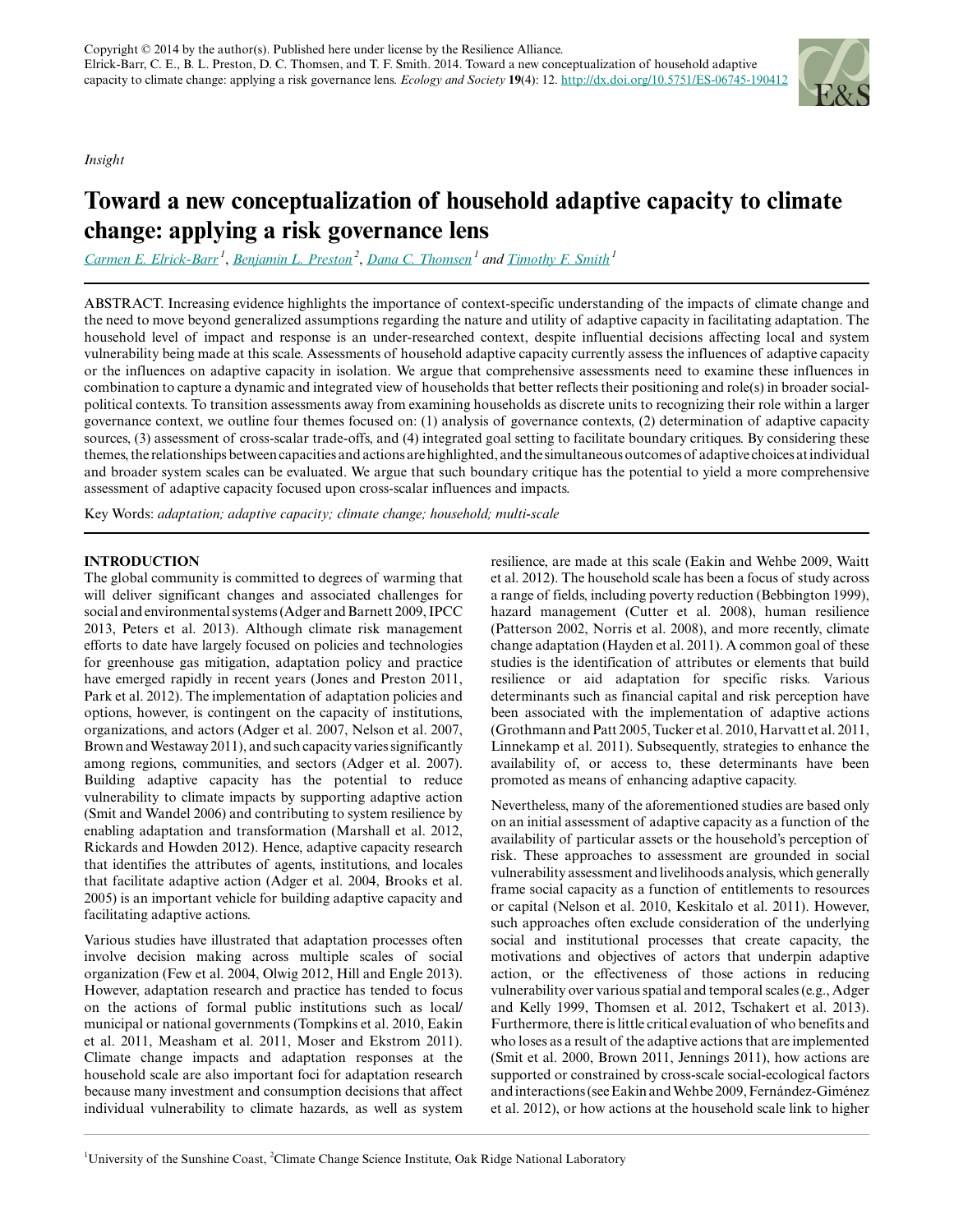*Insight*



# **Toward a new conceptualization of household adaptive capacity to climate change: applying a risk governance lens**

*[Carmen E. Elrick-Barr](mailto:celrick@usc.edu.au)<sup>1</sup>* , *[Benjamin L. Preston](mailto:prestonbl@ornl.gov)<sup>2</sup>* , *[Dana C. Thomsen](mailto:dthomsen@usc.edu.au)<sup>1</sup> and [Timothy F. Smith](mailto:TSmith5@usc.edu.au)<sup>1</sup>*

ABSTRACT. Increasing evidence highlights the importance of context-specific understanding of the impacts of climate change and the need to move beyond generalized assumptions regarding the nature and utility of adaptive capacity in facilitating adaptation. The household level of impact and response is an under-researched context, despite influential decisions affecting local and system vulnerability being made at this scale. Assessments of household adaptive capacity currently assess the influences of adaptive capacity or the influences on adaptive capacity in isolation. We argue that comprehensive assessments need to examine these influences in combination to capture a dynamic and integrated view of households that better reflects their positioning and role(s) in broader socialpolitical contexts. To transition assessments away from examining households as discrete units to recognizing their role within a larger governance context, we outline four themes focused on: (1) analysis of governance contexts, (2) determination of adaptive capacity sources, (3) assessment of cross-scalar trade-offs, and (4) integrated goal setting to facilitate boundary critiques. By considering these themes, the relationships between capacities and actions are highlighted, and the simultaneous outcomes of adaptive choices at individual and broader system scales can be evaluated. We argue that such boundary critique has the potential to yield a more comprehensive assessment of adaptive capacity focused upon cross-scalar influences and impacts.

Key Words: *adaptation; adaptive capacity; climate change; household; multi-scale*

# **INTRODUCTION**

The global community is committed to degrees of warming that will deliver significant changes and associated challenges for social and environmental systems (Adger and Barnett 2009, IPCC 2013, Peters et al. 2013). Although climate risk management efforts to date have largely focused on policies and technologies for greenhouse gas mitigation, adaptation policy and practice have emerged rapidly in recent years (Jones and Preston 2011, Park et al. 2012). The implementation of adaptation policies and options, however, is contingent on the capacity of institutions, organizations, and actors (Adger et al. 2007, Nelson et al. 2007, Brown and Westaway 2011), and such capacity varies significantly among regions, communities, and sectors (Adger et al. 2007). Building adaptive capacity has the potential to reduce vulnerability to climate impacts by supporting adaptive action (Smit and Wandel 2006) and contributing to system resilience by enabling adaptation and transformation (Marshall et al. 2012, Rickards and Howden 2012). Hence, adaptive capacity research that identifies the attributes of agents, institutions, and locales that facilitate adaptive action (Adger et al. 2004, Brooks et al. 2005) is an important vehicle for building adaptive capacity and facilitating adaptive actions.

Various studies have illustrated that adaptation processes often involve decision making across multiple scales of social organization (Few et al. 2004, Olwig 2012, Hill and Engle 2013). However, adaptation research and practice has tended to focus on the actions of formal public institutions such as local/ municipal or national governments (Tompkins et al. 2010, Eakin et al. 2011, Measham et al. 2011, Moser and Ekstrom 2011). Climate change impacts and adaptation responses at the household scale are also important foci for adaptation research because many investment and consumption decisions that affect individual vulnerability to climate hazards, as well as system resilience, are made at this scale (Eakin and Wehbe 2009, Waitt et al. 2012). The household scale has been a focus of study across a range of fields, including poverty reduction (Bebbington 1999), hazard management (Cutter et al. 2008), human resilience (Patterson 2002, Norris et al. 2008), and more recently, climate change adaptation (Hayden et al. 2011). A common goal of these studies is the identification of attributes or elements that build resilience or aid adaptation for specific risks. Various determinants such as financial capital and risk perception have been associated with the implementation of adaptive actions (Grothmann and Patt 2005, Tucker et al. 2010, Harvatt et al. 2011, Linnekamp et al. 2011). Subsequently, strategies to enhance the availability of, or access to, these determinants have been promoted as means of enhancing adaptive capacity.

Nevertheless, many of the aforementioned studies are based only on an initial assessment of adaptive capacity as a function of the availability of particular assets or the household's perception of risk. These approaches to assessment are grounded in social vulnerability assessment and livelihoods analysis, which generally frame social capacity as a function of entitlements to resources or capital (Nelson et al. 2010, Keskitalo et al. 2011). However, such approaches often exclude consideration of the underlying social and institutional processes that create capacity, the motivations and objectives of actors that underpin adaptive action, or the effectiveness of those actions in reducing vulnerability over various spatial and temporal scales (e.g., Adger and Kelly 1999, Thomsen et al. 2012, Tschakert et al. 2013). Furthermore, there is little critical evaluation of who benefits and who loses as a result of the adaptive actions that are implemented (Smit et al. 2000, Brown 2011, Jennings 2011), how actions are supported or constrained by cross-scale social-ecological factors and interactions (see Eakin and Wehbe 2009, Fernández-Giménez et al. 2012), or how actions at the household scale link to higher

<sup>&</sup>lt;sup>1</sup>University of the Sunshine Coast, <sup>2</sup>Climate Change Science Institute, Oak Ridge National Laboratory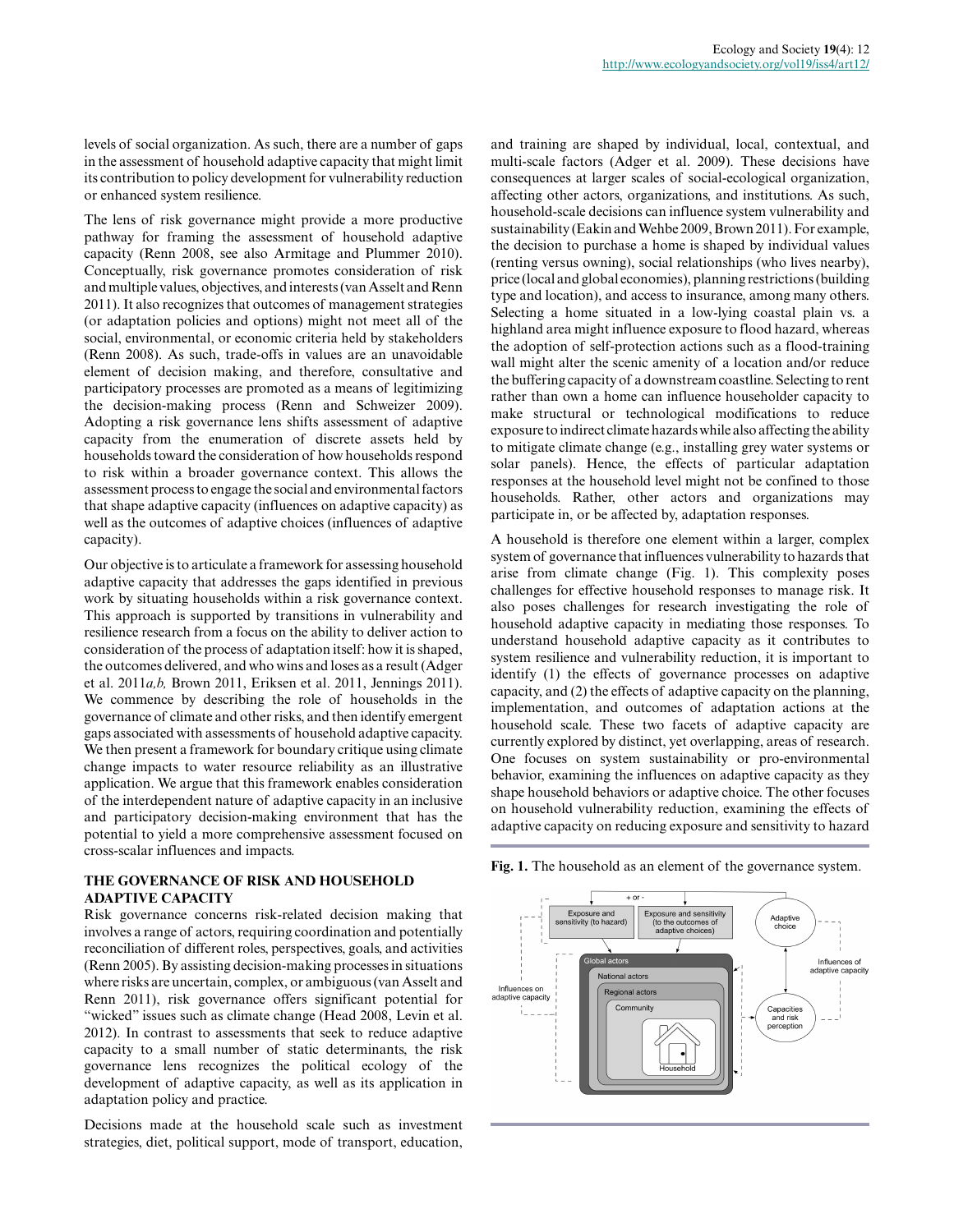levels of social organization. As such, there are a number of gaps in the assessment of household adaptive capacity that might limit its contribution to policy development for vulnerability reduction or enhanced system resilience.

The lens of risk governance might provide a more productive pathway for framing the assessment of household adaptive capacity (Renn 2008, see also Armitage and Plummer 2010). Conceptually, risk governance promotes consideration of risk and multiple values, objectives, and interests (van Asselt and Renn 2011). It also recognizes that outcomes of management strategies (or adaptation policies and options) might not meet all of the social, environmental, or economic criteria held by stakeholders (Renn 2008). As such, trade-offs in values are an unavoidable element of decision making, and therefore, consultative and participatory processes are promoted as a means of legitimizing the decision-making process (Renn and Schweizer 2009). Adopting a risk governance lens shifts assessment of adaptive capacity from the enumeration of discrete assets held by households toward the consideration of how households respond to risk within a broader governance context. This allows the assessment process to engage the social and environmental factors that shape adaptive capacity (influences on adaptive capacity) as well as the outcomes of adaptive choices (influences of adaptive capacity).

Our objective is to articulate a framework for assessing household adaptive capacity that addresses the gaps identified in previous work by situating households within a risk governance context. This approach is supported by transitions in vulnerability and resilience research from a focus on the ability to deliver action to consideration of the process of adaptation itself: how it is shaped, the outcomes delivered, and who wins and loses as a result (Adger et al. 2011*a,b,* Brown 2011, Eriksen et al. 2011, Jennings 2011). We commence by describing the role of households in the governance of climate and other risks, and then identify emergent gaps associated with assessments of household adaptive capacity. We then present a framework for boundary critique using climate change impacts to water resource reliability as an illustrative application. We argue that this framework enables consideration of the interdependent nature of adaptive capacity in an inclusive and participatory decision-making environment that has the potential to yield a more comprehensive assessment focused on cross-scalar influences and impacts.

## **THE GOVERNANCE OF RISK AND HOUSEHOLD ADAPTIVE CAPACITY**

Risk governance concerns risk-related decision making that involves a range of actors, requiring coordination and potentially reconciliation of different roles, perspectives, goals, and activities (Renn 2005). By assisting decision-making processes in situations where risks are uncertain, complex, or ambiguous (van Asselt and Renn 2011), risk governance offers significant potential for "wicked" issues such as climate change (Head 2008, Levin et al. 2012). In contrast to assessments that seek to reduce adaptive capacity to a small number of static determinants, the risk governance lens recognizes the political ecology of the development of adaptive capacity, as well as its application in adaptation policy and practice.

Decisions made at the household scale such as investment strategies, diet, political support, mode of transport, education, and training are shaped by individual, local, contextual, and multi-scale factors (Adger et al. 2009). These decisions have consequences at larger scales of social-ecological organization, affecting other actors, organizations, and institutions. As such, household-scale decisions can influence system vulnerability and sustainability (Eakin and Wehbe 2009, Brown 2011). For example, the decision to purchase a home is shaped by individual values (renting versus owning), social relationships (who lives nearby), price (local and global economies), planning restrictions (building type and location), and access to insurance, among many others. Selecting a home situated in a low-lying coastal plain vs. a highland area might influence exposure to flood hazard, whereas the adoption of self-protection actions such as a flood-training wall might alter the scenic amenity of a location and/or reduce the buffering capacity of a downstream coastline. Selecting to rent rather than own a home can influence householder capacity to make structural or technological modifications to reduce exposure to indirect climate hazards while also affecting the ability to mitigate climate change (e.g., installing grey water systems or solar panels). Hence, the effects of particular adaptation responses at the household level might not be confined to those households. Rather, other actors and organizations may participate in, or be affected by, adaptation responses.

A household is therefore one element within a larger, complex system of governance that influences vulnerability to hazards that arise from climate change (Fig. 1). This complexity poses challenges for effective household responses to manage risk. It also poses challenges for research investigating the role of household adaptive capacity in mediating those responses. To understand household adaptive capacity as it contributes to system resilience and vulnerability reduction, it is important to identify (1) the effects of governance processes on adaptive capacity, and (2) the effects of adaptive capacity on the planning, implementation, and outcomes of adaptation actions at the household scale. These two facets of adaptive capacity are currently explored by distinct, yet overlapping, areas of research. One focuses on system sustainability or pro-environmental behavior, examining the influences on adaptive capacity as they shape household behaviors or adaptive choice. The other focuses on household vulnerability reduction, examining the effects of adaptive capacity on reducing exposure and sensitivity to hazard

**Fig. 1.** The household as an element of the governance system.

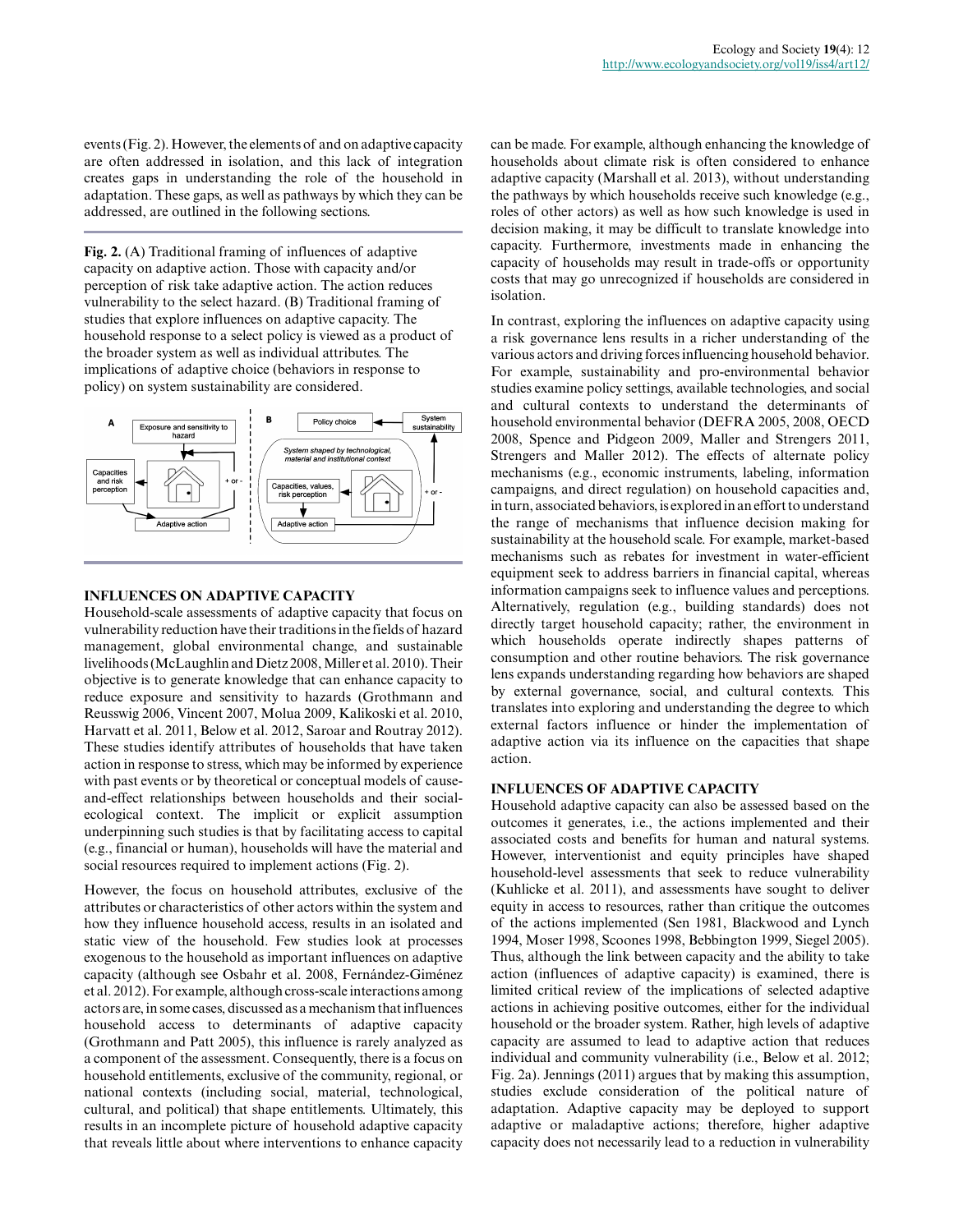events (Fig. 2). However, the elements of and on adaptive capacity are often addressed in isolation, and this lack of integration creates gaps in understanding the role of the household in adaptation. These gaps, as well as pathways by which they can be addressed, are outlined in the following sections.

**Fig. 2.** (A) Traditional framing of influences of adaptive capacity on adaptive action. Those with capacity and/or perception of risk take adaptive action. The action reduces vulnerability to the select hazard. (B) Traditional framing of studies that explore influences on adaptive capacity. The household response to a select policy is viewed as a product of the broader system as well as individual attributes. The implications of adaptive choice (behaviors in response to policy) on system sustainability are considered.



# **INFLUENCES ON ADAPTIVE CAPACITY**

Household-scale assessments of adaptive capacity that focus on vulnerability reduction have their traditions in the fields of hazard management, global environmental change, and sustainable livelihoods (McLaughlin and Dietz 2008, Miller et al. 2010). Their objective is to generate knowledge that can enhance capacity to reduce exposure and sensitivity to hazards (Grothmann and Reusswig 2006, Vincent 2007, Molua 2009, Kalikoski et al. 2010, Harvatt et al. 2011, Below et al. 2012, Saroar and Routray 2012). These studies identify attributes of households that have taken action in response to stress, which may be informed by experience with past events or by theoretical or conceptual models of causeand-effect relationships between households and their socialecological context. The implicit or explicit assumption underpinning such studies is that by facilitating access to capital (e.g., financial or human), households will have the material and social resources required to implement actions (Fig. 2).

However, the focus on household attributes, exclusive of the attributes or characteristics of other actors within the system and how they influence household access, results in an isolated and static view of the household. Few studies look at processes exogenous to the household as important influences on adaptive capacity (although see Osbahr et al. 2008, Fernández-Giménez et al. 2012). For example, although cross-scale interactions among actors are, in some cases, discussed as a mechanism that influences household access to determinants of adaptive capacity (Grothmann and Patt 2005), this influence is rarely analyzed as a component of the assessment. Consequently, there is a focus on household entitlements, exclusive of the community, regional, or national contexts (including social, material, technological, cultural, and political) that shape entitlements. Ultimately, this results in an incomplete picture of household adaptive capacity that reveals little about where interventions to enhance capacity

can be made. For example, although enhancing the knowledge of households about climate risk is often considered to enhance adaptive capacity (Marshall et al. 2013), without understanding the pathways by which households receive such knowledge (e.g., roles of other actors) as well as how such knowledge is used in decision making, it may be difficult to translate knowledge into capacity. Furthermore, investments made in enhancing the capacity of households may result in trade-offs or opportunity costs that may go unrecognized if households are considered in isolation.

In contrast, exploring the influences on adaptive capacity using a risk governance lens results in a richer understanding of the various actors and driving forces influencing household behavior. For example, sustainability and pro-environmental behavior studies examine policy settings, available technologies, and social and cultural contexts to understand the determinants of household environmental behavior (DEFRA 2005, 2008, OECD 2008, Spence and Pidgeon 2009, Maller and Strengers 2011, Strengers and Maller 2012). The effects of alternate policy mechanisms (e.g., economic instruments, labeling, information campaigns, and direct regulation) on household capacities and, in turn, associated behaviors, is explored in an effort to understand the range of mechanisms that influence decision making for sustainability at the household scale. For example, market-based mechanisms such as rebates for investment in water-efficient equipment seek to address barriers in financial capital, whereas information campaigns seek to influence values and perceptions. Alternatively, regulation (e.g., building standards) does not directly target household capacity; rather, the environment in which households operate indirectly shapes patterns of consumption and other routine behaviors. The risk governance lens expands understanding regarding how behaviors are shaped by external governance, social, and cultural contexts. This translates into exploring and understanding the degree to which external factors influence or hinder the implementation of adaptive action via its influence on the capacities that shape action.

# **INFLUENCES OF ADAPTIVE CAPACITY**

Household adaptive capacity can also be assessed based on the outcomes it generates, i.e., the actions implemented and their associated costs and benefits for human and natural systems. However, interventionist and equity principles have shaped household-level assessments that seek to reduce vulnerability (Kuhlicke et al. 2011), and assessments have sought to deliver equity in access to resources, rather than critique the outcomes of the actions implemented (Sen 1981, Blackwood and Lynch 1994, Moser 1998, Scoones 1998, Bebbington 1999, Siegel 2005). Thus, although the link between capacity and the ability to take action (influences of adaptive capacity) is examined, there is limited critical review of the implications of selected adaptive actions in achieving positive outcomes, either for the individual household or the broader system. Rather, high levels of adaptive capacity are assumed to lead to adaptive action that reduces individual and community vulnerability (i.e., Below et al. 2012; Fig. 2a). Jennings (2011) argues that by making this assumption, studies exclude consideration of the political nature of adaptation. Adaptive capacity may be deployed to support adaptive or maladaptive actions; therefore, higher adaptive capacity does not necessarily lead to a reduction in vulnerability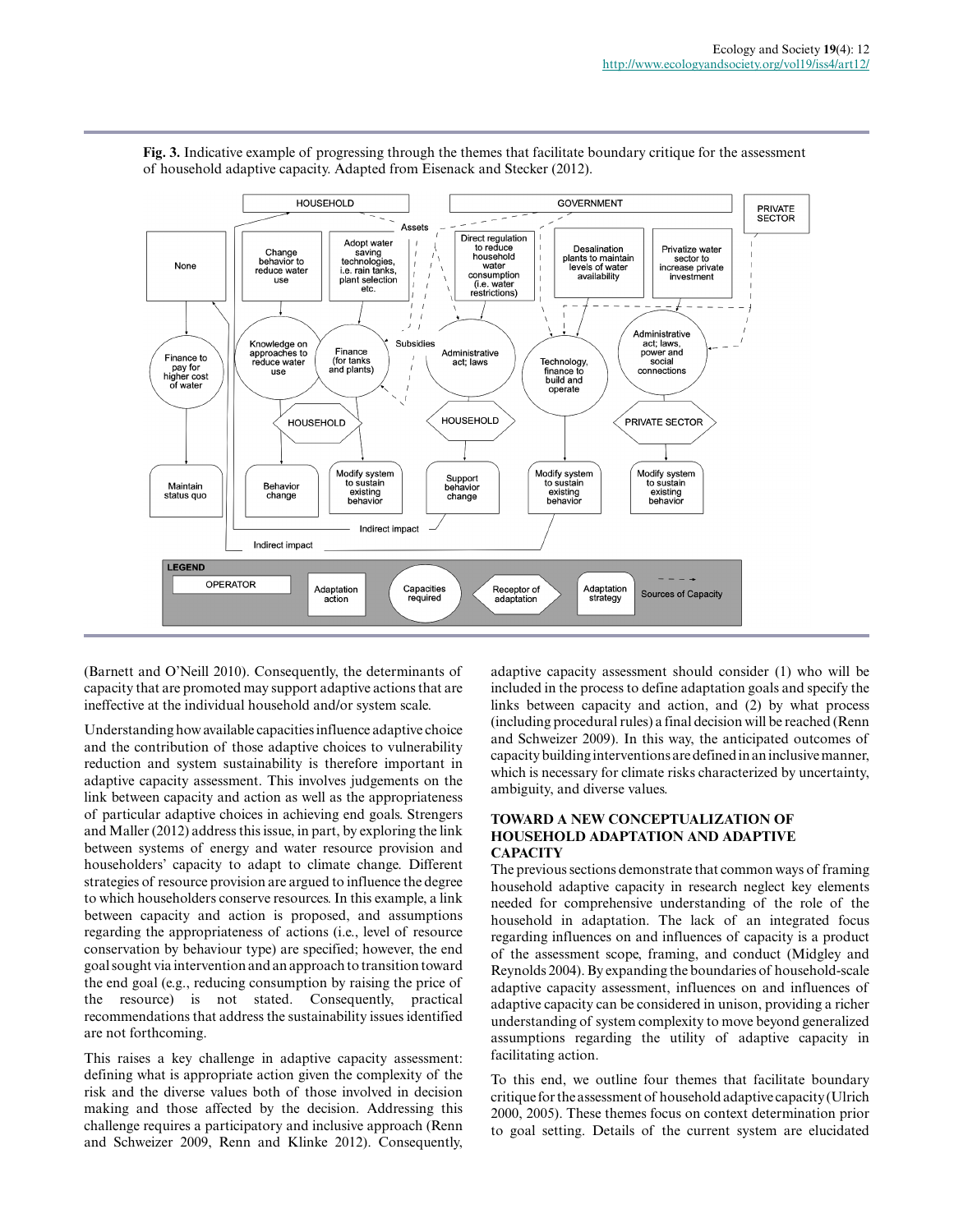

**Fig. 3.** Indicative example of progressing through the themes that facilitate boundary critique for the assessment of household adaptive capacity. Adapted from Eisenack and Stecker (2012).

(Barnett and O'Neill 2010). Consequently, the determinants of capacity that are promoted may support adaptive actions that are ineffective at the individual household and/or system scale.

Understanding how available capacities influence adaptive choice and the contribution of those adaptive choices to vulnerability reduction and system sustainability is therefore important in adaptive capacity assessment. This involves judgements on the link between capacity and action as well as the appropriateness of particular adaptive choices in achieving end goals. Strengers and Maller (2012) address this issue, in part, by exploring the link between systems of energy and water resource provision and householders' capacity to adapt to climate change. Different strategies of resource provision are argued to influence the degree to which householders conserve resources. In this example, a link between capacity and action is proposed, and assumptions regarding the appropriateness of actions (i.e., level of resource conservation by behaviour type) are specified; however, the end goal sought via intervention and an approach to transition toward the end goal (e.g., reducing consumption by raising the price of the resource) is not stated. Consequently, practical recommendations that address the sustainability issues identified are not forthcoming.

This raises a key challenge in adaptive capacity assessment: defining what is appropriate action given the complexity of the risk and the diverse values both of those involved in decision making and those affected by the decision. Addressing this challenge requires a participatory and inclusive approach (Renn and Schweizer 2009, Renn and Klinke 2012). Consequently, adaptive capacity assessment should consider (1) who will be included in the process to define adaptation goals and specify the links between capacity and action, and (2) by what process (including procedural rules) a final decision will be reached (Renn and Schweizer 2009). In this way, the anticipated outcomes of capacity building interventions are defined in an inclusive manner, which is necessary for climate risks characterized by uncertainty, ambiguity, and diverse values.

## **TOWARD A NEW CONCEPTUALIZATION OF HOUSEHOLD ADAPTATION AND ADAPTIVE CAPACITY**

The previous sections demonstrate that common ways of framing household adaptive capacity in research neglect key elements needed for comprehensive understanding of the role of the household in adaptation. The lack of an integrated focus regarding influences on and influences of capacity is a product of the assessment scope, framing, and conduct (Midgley and Reynolds 2004). By expanding the boundaries of household-scale adaptive capacity assessment, influences on and influences of adaptive capacity can be considered in unison, providing a richer understanding of system complexity to move beyond generalized assumptions regarding the utility of adaptive capacity in facilitating action.

To this end, we outline four themes that facilitate boundary critique for the assessment of household adaptive capacity (Ulrich 2000, 2005). These themes focus on context determination prior to goal setting. Details of the current system are elucidated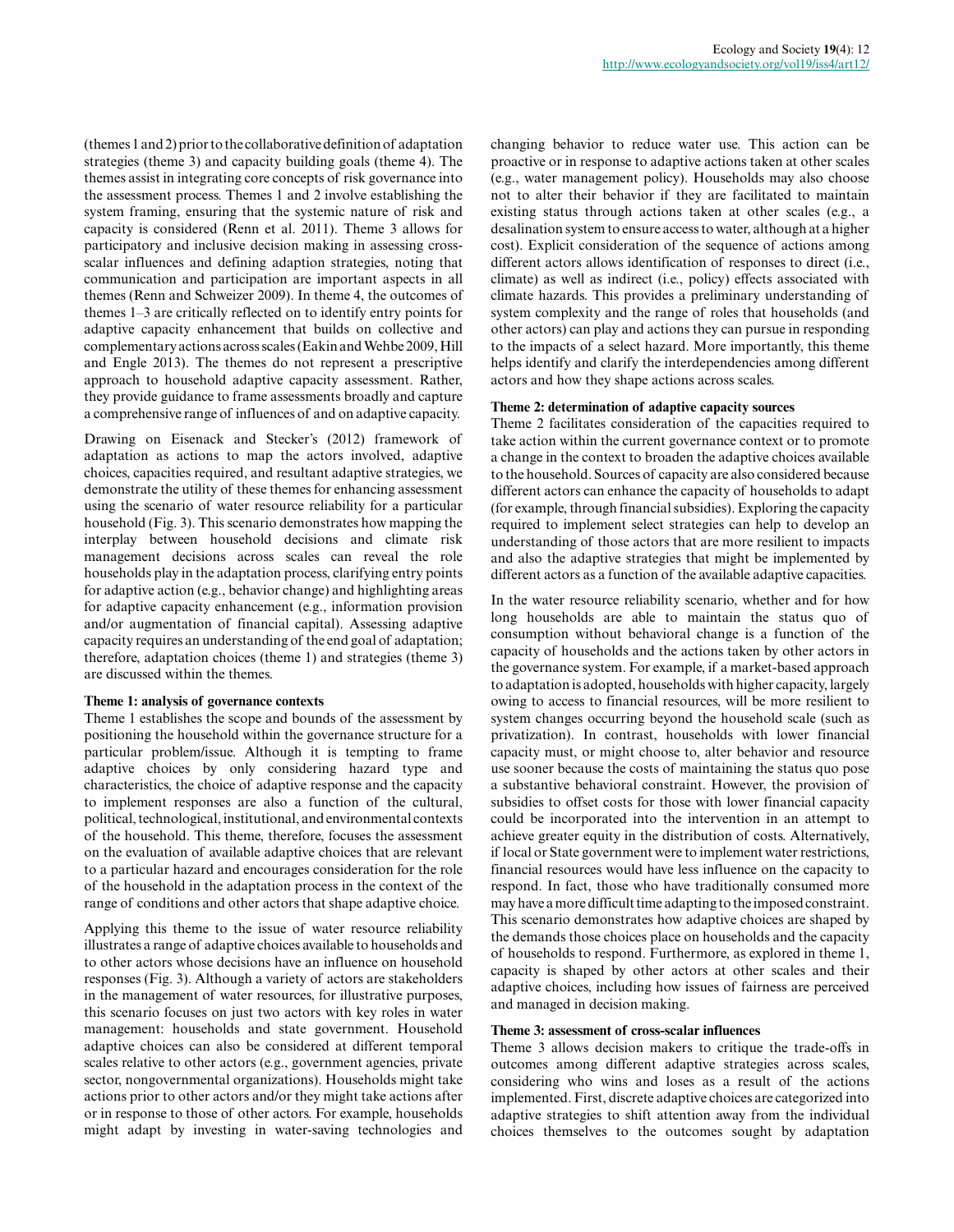(themes 1 and 2) prior to the collaborative definition of adaptation strategies (theme 3) and capacity building goals (theme 4). The themes assist in integrating core concepts of risk governance into the assessment process. Themes 1 and 2 involve establishing the system framing, ensuring that the systemic nature of risk and capacity is considered (Renn et al. 2011). Theme 3 allows for participatory and inclusive decision making in assessing crossscalar influences and defining adaption strategies, noting that communication and participation are important aspects in all themes (Renn and Schweizer 2009). In theme 4, the outcomes of themes 1–3 are critically reflected on to identify entry points for adaptive capacity enhancement that builds on collective and complementary actions across scales (Eakin and Wehbe 2009, Hill and Engle 2013). The themes do not represent a prescriptive approach to household adaptive capacity assessment. Rather, they provide guidance to frame assessments broadly and capture a comprehensive range of influences of and on adaptive capacity.

Drawing on Eisenack and Stecker's (2012) framework of adaptation as actions to map the actors involved, adaptive choices, capacities required, and resultant adaptive strategies, we demonstrate the utility of these themes for enhancing assessment using the scenario of water resource reliability for a particular household (Fig. 3). This scenario demonstrates how mapping the interplay between household decisions and climate risk management decisions across scales can reveal the role households play in the adaptation process, clarifying entry points for adaptive action (e.g., behavior change) and highlighting areas for adaptive capacity enhancement (e.g., information provision and/or augmentation of financial capital). Assessing adaptive capacity requires an understanding of the end goal of adaptation; therefore, adaptation choices (theme 1) and strategies (theme 3) are discussed within the themes.

#### **Theme 1: analysis of governance contexts**

Theme 1 establishes the scope and bounds of the assessment by positioning the household within the governance structure for a particular problem/issue. Although it is tempting to frame adaptive choices by only considering hazard type and characteristics, the choice of adaptive response and the capacity to implement responses are also a function of the cultural, political, technological, institutional, and environmental contexts of the household. This theme, therefore, focuses the assessment on the evaluation of available adaptive choices that are relevant to a particular hazard and encourages consideration for the role of the household in the adaptation process in the context of the range of conditions and other actors that shape adaptive choice.

Applying this theme to the issue of water resource reliability illustrates a range of adaptive choices available to households and to other actors whose decisions have an influence on household responses (Fig. 3). Although a variety of actors are stakeholders in the management of water resources, for illustrative purposes, this scenario focuses on just two actors with key roles in water management: households and state government. Household adaptive choices can also be considered at different temporal scales relative to other actors (e.g., government agencies, private sector, nongovernmental organizations). Households might take actions prior to other actors and/or they might take actions after or in response to those of other actors. For example, households might adapt by investing in water-saving technologies and changing behavior to reduce water use. This action can be proactive or in response to adaptive actions taken at other scales (e.g., water management policy). Households may also choose not to alter their behavior if they are facilitated to maintain existing status through actions taken at other scales (e.g., a desalination system to ensure access to water, although at a higher cost). Explicit consideration of the sequence of actions among different actors allows identification of responses to direct (i.e., climate) as well as indirect (i.e., policy) effects associated with climate hazards. This provides a preliminary understanding of system complexity and the range of roles that households (and other actors) can play and actions they can pursue in responding to the impacts of a select hazard. More importantly, this theme helps identify and clarify the interdependencies among different actors and how they shape actions across scales.

### **Theme 2: determination of adaptive capacity sources**

Theme 2 facilitates consideration of the capacities required to take action within the current governance context or to promote a change in the context to broaden the adaptive choices available to the household. Sources of capacity are also considered because different actors can enhance the capacity of households to adapt (for example, through financial subsidies). Exploring the capacity required to implement select strategies can help to develop an understanding of those actors that are more resilient to impacts and also the adaptive strategies that might be implemented by different actors as a function of the available adaptive capacities.

In the water resource reliability scenario, whether and for how long households are able to maintain the status quo of consumption without behavioral change is a function of the capacity of households and the actions taken by other actors in the governance system. For example, if a market-based approach to adaptation is adopted, households with higher capacity, largely owing to access to financial resources, will be more resilient to system changes occurring beyond the household scale (such as privatization). In contrast, households with lower financial capacity must, or might choose to, alter behavior and resource use sooner because the costs of maintaining the status quo pose a substantive behavioral constraint. However, the provision of subsidies to offset costs for those with lower financial capacity could be incorporated into the intervention in an attempt to achieve greater equity in the distribution of costs. Alternatively, if local or State government were to implement water restrictions, financial resources would have less influence on the capacity to respond. In fact, those who have traditionally consumed more may have a more difficult time adapting to the imposed constraint. This scenario demonstrates how adaptive choices are shaped by the demands those choices place on households and the capacity of households to respond. Furthermore, as explored in theme 1, capacity is shaped by other actors at other scales and their adaptive choices, including how issues of fairness are perceived and managed in decision making.

#### **Theme 3: assessment of cross-scalar influences**

Theme 3 allows decision makers to critique the trade-offs in outcomes among different adaptive strategies across scales, considering who wins and loses as a result of the actions implemented. First, discrete adaptive choices are categorized into adaptive strategies to shift attention away from the individual choices themselves to the outcomes sought by adaptation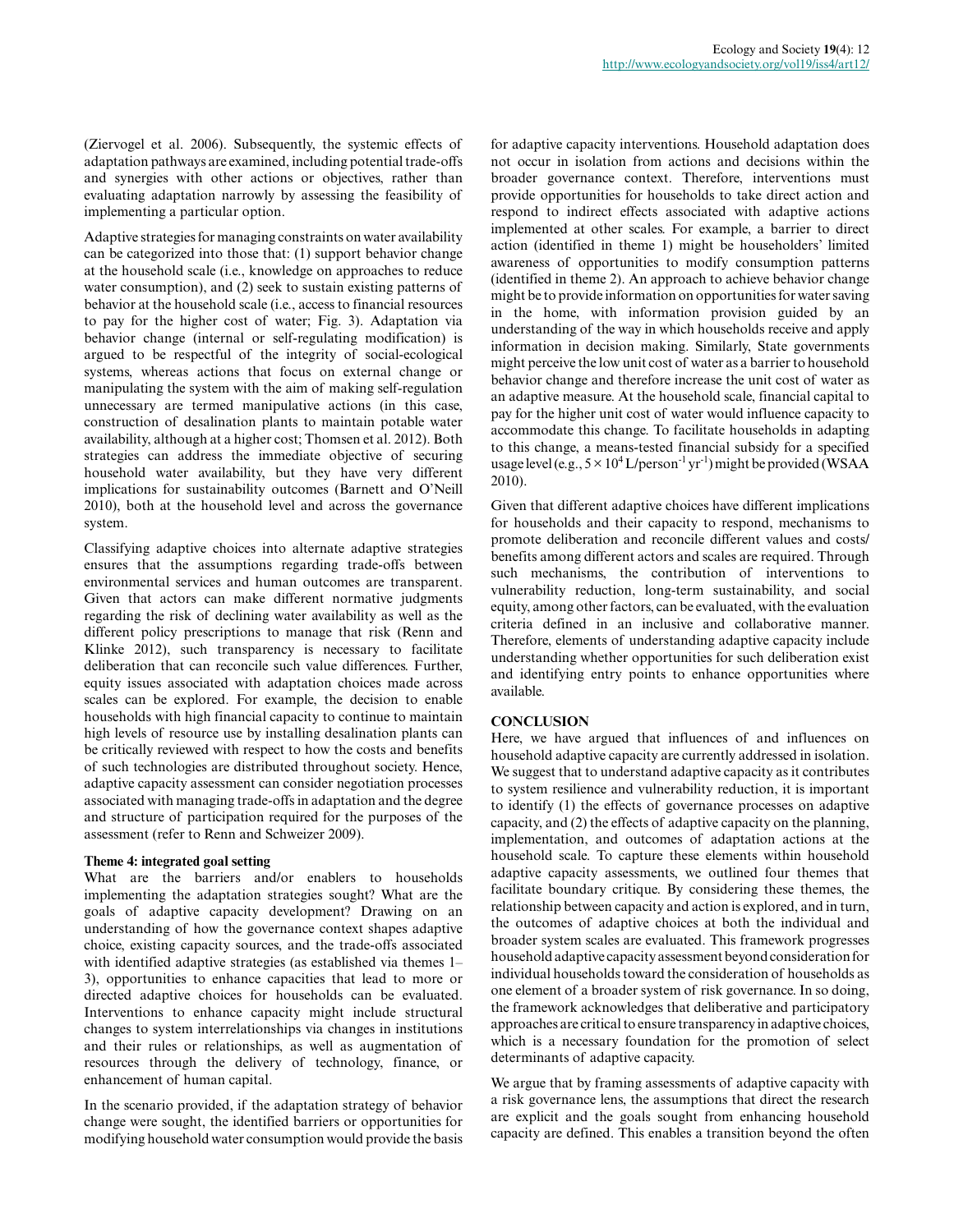(Ziervogel et al. 2006). Subsequently, the systemic effects of adaptation pathways are examined, including potential trade-offs and synergies with other actions or objectives, rather than evaluating adaptation narrowly by assessing the feasibility of implementing a particular option.

Adaptive strategies for managing constraints on water availability can be categorized into those that: (1) support behavior change at the household scale (i.e., knowledge on approaches to reduce water consumption), and (2) seek to sustain existing patterns of behavior at the household scale (i.e., access to financial resources to pay for the higher cost of water; Fig. 3). Adaptation via behavior change (internal or self-regulating modification) is argued to be respectful of the integrity of social-ecological systems, whereas actions that focus on external change or manipulating the system with the aim of making self-regulation unnecessary are termed manipulative actions (in this case, construction of desalination plants to maintain potable water availability, although at a higher cost; Thomsen et al. 2012). Both strategies can address the immediate objective of securing household water availability, but they have very different implications for sustainability outcomes (Barnett and O'Neill 2010), both at the household level and across the governance system.

Classifying adaptive choices into alternate adaptive strategies ensures that the assumptions regarding trade-offs between environmental services and human outcomes are transparent. Given that actors can make different normative judgments regarding the risk of declining water availability as well as the different policy prescriptions to manage that risk (Renn and Klinke 2012), such transparency is necessary to facilitate deliberation that can reconcile such value differences. Further, equity issues associated with adaptation choices made across scales can be explored. For example, the decision to enable households with high financial capacity to continue to maintain high levels of resource use by installing desalination plants can be critically reviewed with respect to how the costs and benefits of such technologies are distributed throughout society. Hence, adaptive capacity assessment can consider negotiation processes associated with managing trade-offs in adaptation and the degree and structure of participation required for the purposes of the assessment (refer to Renn and Schweizer 2009).

# **Theme 4: integrated goal setting**

What are the barriers and/or enablers to households implementing the adaptation strategies sought? What are the goals of adaptive capacity development? Drawing on an understanding of how the governance context shapes adaptive choice, existing capacity sources, and the trade-offs associated with identified adaptive strategies (as established via themes 1– 3), opportunities to enhance capacities that lead to more or directed adaptive choices for households can be evaluated. Interventions to enhance capacity might include structural changes to system interrelationships via changes in institutions and their rules or relationships, as well as augmentation of resources through the delivery of technology, finance, or enhancement of human capital.

In the scenario provided, if the adaptation strategy of behavior change were sought, the identified barriers or opportunities for modifying household water consumption would provide the basis for adaptive capacity interventions. Household adaptation does not occur in isolation from actions and decisions within the broader governance context. Therefore, interventions must provide opportunities for households to take direct action and respond to indirect effects associated with adaptive actions implemented at other scales. For example, a barrier to direct action (identified in theme 1) might be householders' limited awareness of opportunities to modify consumption patterns (identified in theme 2). An approach to achieve behavior change might be to provide information on opportunities for water saving in the home, with information provision guided by an understanding of the way in which households receive and apply information in decision making. Similarly, State governments might perceive the low unit cost of water as a barrier to household behavior change and therefore increase the unit cost of water as an adaptive measure. At the household scale, financial capital to pay for the higher unit cost of water would influence capacity to accommodate this change. To facilitate households in adapting to this change, a means-tested financial subsidy for a specified usage level (e.g.,  $5 \times 10^4$  L/person<sup>-1</sup> yr<sup>-1</sup>) might be provided (WSAA 2010).

Given that different adaptive choices have different implications for households and their capacity to respond, mechanisms to promote deliberation and reconcile different values and costs/ benefits among different actors and scales are required. Through such mechanisms, the contribution of interventions to vulnerability reduction, long-term sustainability, and social equity, among other factors, can be evaluated, with the evaluation criteria defined in an inclusive and collaborative manner. Therefore, elements of understanding adaptive capacity include understanding whether opportunities for such deliberation exist and identifying entry points to enhance opportunities where available.

# **CONCLUSION**

Here, we have argued that influences of and influences on household adaptive capacity are currently addressed in isolation. We suggest that to understand adaptive capacity as it contributes to system resilience and vulnerability reduction, it is important to identify (1) the effects of governance processes on adaptive capacity, and (2) the effects of adaptive capacity on the planning, implementation, and outcomes of adaptation actions at the household scale. To capture these elements within household adaptive capacity assessments, we outlined four themes that facilitate boundary critique. By considering these themes, the relationship between capacity and action is explored, and in turn, the outcomes of adaptive choices at both the individual and broader system scales are evaluated. This framework progresses household adaptive capacity assessment beyond consideration for individual households toward the consideration of households as one element of a broader system of risk governance. In so doing, the framework acknowledges that deliberative and participatory approaches are critical to ensure transparency in adaptive choices, which is a necessary foundation for the promotion of select determinants of adaptive capacity.

We argue that by framing assessments of adaptive capacity with a risk governance lens, the assumptions that direct the research are explicit and the goals sought from enhancing household capacity are defined. This enables a transition beyond the often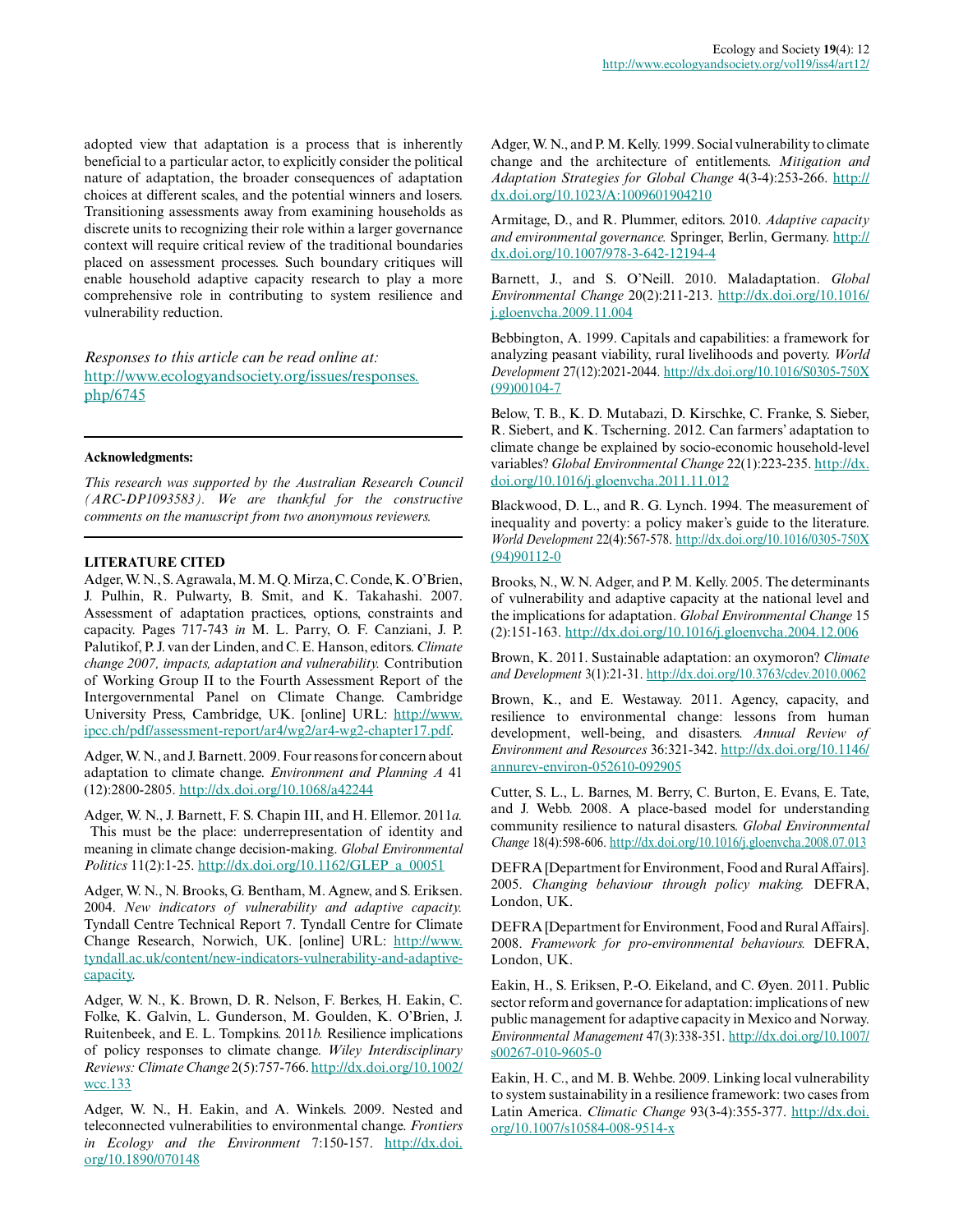adopted view that adaptation is a process that is inherently beneficial to a particular actor, to explicitly consider the political nature of adaptation, the broader consequences of adaptation choices at different scales, and the potential winners and losers. Transitioning assessments away from examining households as discrete units to recognizing their role within a larger governance context will require critical review of the traditional boundaries placed on assessment processes. Such boundary critiques will enable household adaptive capacity research to play a more comprehensive role in contributing to system resilience and vulnerability reduction.

*Responses to this article can be read online at:* [http://www.ecologyandsociety.org/issues/responses.](http://www.ecologyandsociety.org/issues/responses.php/6745) [php/6745](http://www.ecologyandsociety.org/issues/responses.php/6745)

#### **Acknowledgments:**

*This research was supported by the Australian Research Council (ARC-DP1093583). We are thankful for the constructive comments on the manuscript from two anonymous reviewers.*

#### **LITERATURE CITED**

Adger, W. N., S. Agrawala, M. M. Q. Mirza, C. Conde, K. O'Brien, J. Pulhin, R. Pulwarty, B. Smit, and K. Takahashi. 2007. Assessment of adaptation practices, options, constraints and capacity. Pages 717-743 *in* M. L. Parry, O. F. Canziani, J. P. Palutikof, P. J. van der Linden, and C. E. Hanson, editors. *Climate change 2007, impacts, adaptation and vulnerability.* Contribution of Working Group II to the Fourth Assessment Report of the Intergovernmental Panel on Climate Change. Cambridge University Press, Cambridge, UK. [online] URL: [http://www.](http://www.ipcc.ch/pdf/assessment-report/ar4/wg2/ar4-wg2-chapter17.pdf) [ipcc.ch/pdf/assessment-report/ar4/wg2/ar4-wg2-chapter17.pdf.](http://www.ipcc.ch/pdf/assessment-report/ar4/wg2/ar4-wg2-chapter17.pdf)

Adger, W. N., and J. Barnett. 2009. Four reasons for concern about adaptation to climate change. *Environment and Planning A* 41 (12):2800-2805.<http://dx.doi.org/10.1068/a42244>

Adger, W. N., J. Barnett, F. S. Chapin III, and H. Ellemor. 2011*a.* This must be the place: underrepresentation of identity and meaning in climate change decision-making. *Global Environmental Politics* 11(2):1-25. [http://dx.doi.org/10.1162/GLEP\\_a\\_00051](http://dx.doi.org/10.1162/GLEP_a_00051)

Adger, W. N., N. Brooks, G. Bentham, M. Agnew, and S. Eriksen. 2004. *New indicators of vulnerability and adaptive capacity.* Tyndall Centre Technical Report 7. Tyndall Centre for Climate Change Research, Norwich, UK. [online] URL: [http://www.](http://www.tyndall.ac.uk/content/new-indicators-vulnerability-and-adaptive-capacity) [tyndall.ac.uk/content/new-indicators-vulnerability-and-adaptive](http://www.tyndall.ac.uk/content/new-indicators-vulnerability-and-adaptive-capacity)[capacity.](http://www.tyndall.ac.uk/content/new-indicators-vulnerability-and-adaptive-capacity)

Adger, W. N., K. Brown, D. R. Nelson, F. Berkes, H. Eakin, C. Folke, K. Galvin, L. Gunderson, M. Goulden, K. O'Brien, J. Ruitenbeek, and E. L. Tompkins. 2011*b.* Resilience implications of policy responses to climate change. *Wiley Interdisciplinary Reviews: Climate Change* 2(5):757-766. [http://dx.doi.org/10.1002/](http://dx.doi.org/10.1002/wcc.133) [wcc.133](http://dx.doi.org/10.1002/wcc.133)

Adger, W. N., H. Eakin, and A. Winkels. 2009. Nested and teleconnected vulnerabilities to environmental change. *Frontiers in Ecology and the Environment* 7:150-157. [http://dx.doi.](http://dx.doi.org/10.1890/070148) [org/10.1890/070148](http://dx.doi.org/10.1890/070148)

Adger, W. N., and P. M. Kelly. 1999. Social vulnerability to climate change and the architecture of entitlements. *Mitigation and Adaptation Strategies for Global Change* 4(3-4):253-266. [http://](http://dx.doi.org/10.1023/A:1009601904210) [dx.doi.org/10.1023/A:1009601904210](http://dx.doi.org/10.1023/A:1009601904210)

Armitage, D., and R. Plummer, editors. 2010. *Adaptive capacity and environmental governance.* Springer, Berlin, Germany. [http://](http://dx.doi.org/10.1007/978-3-642-12194-4) [dx.doi.org/10.1007/978-3-642-12194-4](http://dx.doi.org/10.1007/978-3-642-12194-4)

Barnett, J., and S. O'Neill. 2010. Maladaptation. *Global Environmental Change* 20(2):211-213. [http://dx.doi.org/10.1016/](http://dx.doi.org/10.1016/j.gloenvcha.2009.11.004) [j.gloenvcha.2009.11.004](http://dx.doi.org/10.1016/j.gloenvcha.2009.11.004)

Bebbington, A. 1999. Capitals and capabilities: a framework for analyzing peasant viability, rural livelihoods and poverty. *World Development* 27(12):2021-2044. [http://dx.doi.org/10.1016/S0305-750X](http://dx.doi.org/10.1016/S0305-750X(99)00104-7) [\(99\)00104-7](http://dx.doi.org/10.1016/S0305-750X(99)00104-7)

Below, T. B., K. D. Mutabazi, D. Kirschke, C. Franke, S. Sieber, R. Siebert, and K. Tscherning. 2012. Can farmers' adaptation to climate change be explained by socio-economic household-level variables? *Global Environmental Change* 22(1):223-235. [http://dx.](http://dx.doi.org/10.1016/j.gloenvcha.2011.11.012) [doi.org/10.1016/j.gloenvcha.2011.11.012](http://dx.doi.org/10.1016/j.gloenvcha.2011.11.012)

Blackwood, D. L., and R. G. Lynch. 1994. The measurement of inequality and poverty: a policy maker's guide to the literature. *World Development* 22(4):567-578. [http://dx.doi.org/10.1016/0305-750X](http://dx.doi.org/10.1016/0305-750X(94)90112-0) [\(94\)90112-0](http://dx.doi.org/10.1016/0305-750X(94)90112-0)

Brooks, N., W. N. Adger, and P. M. Kelly. 2005. The determinants of vulnerability and adaptive capacity at the national level and the implications for adaptation. *Global Environmental Change* 15 (2):151-163. <http://dx.doi.org/10.1016/j.gloenvcha.2004.12.006>

Brown, K. 2011. Sustainable adaptation: an oxymoron? *Climate and Development* 3(1):21-31. <http://dx.doi.org/10.3763/cdev.2010.0062>

Brown, K., and E. Westaway. 2011. Agency, capacity, and resilience to environmental change: lessons from human development, well-being, and disasters. *Annual Review of Environment and Resources* 36:321-342. [http://dx.doi.org/10.1146/](http://dx.doi.org/10.1146/annurev-environ-052610-092905) [annurev-environ-052610-092905](http://dx.doi.org/10.1146/annurev-environ-052610-092905)

Cutter, S. L., L. Barnes, M. Berry, C. Burton, E. Evans, E. Tate, and J. Webb. 2008. A place-based model for understanding community resilience to natural disasters. *Global Environmental Change* 18(4):598-606.<http://dx.doi.org/10.1016/j.gloenvcha.2008.07.013>

DEFRA [Department for Environment, Food and Rural Affairs]. 2005. *Changing behaviour through policy making.* DEFRA, London, UK.

DEFRA [Department for Environment, Food and Rural Affairs]. 2008. *Framework for pro-environmental behaviours.* DEFRA, London, UK.

Eakin, H., S. Eriksen, P.-O. Eikeland, and C. Øyen. 2011. Public sector reform and governance for adaptation: implications of new public management for adaptive capacity in Mexico and Norway. *Environmental Management* 47(3):338-351. [http://dx.doi.org/10.1007/](http://dx.doi.org/10.1007/s00267-010-9605-0) [s00267-010-9605-0](http://dx.doi.org/10.1007/s00267-010-9605-0)

Eakin, H. C., and M. B. Wehbe. 2009. Linking local vulnerability to system sustainability in a resilience framework: two cases from Latin America. *Climatic Change* 93(3-4):355-377. [http://dx.doi.](http://dx.doi.org/10.1007/s10584-008-9514-x) [org/10.1007/s10584-008-9514-x](http://dx.doi.org/10.1007/s10584-008-9514-x)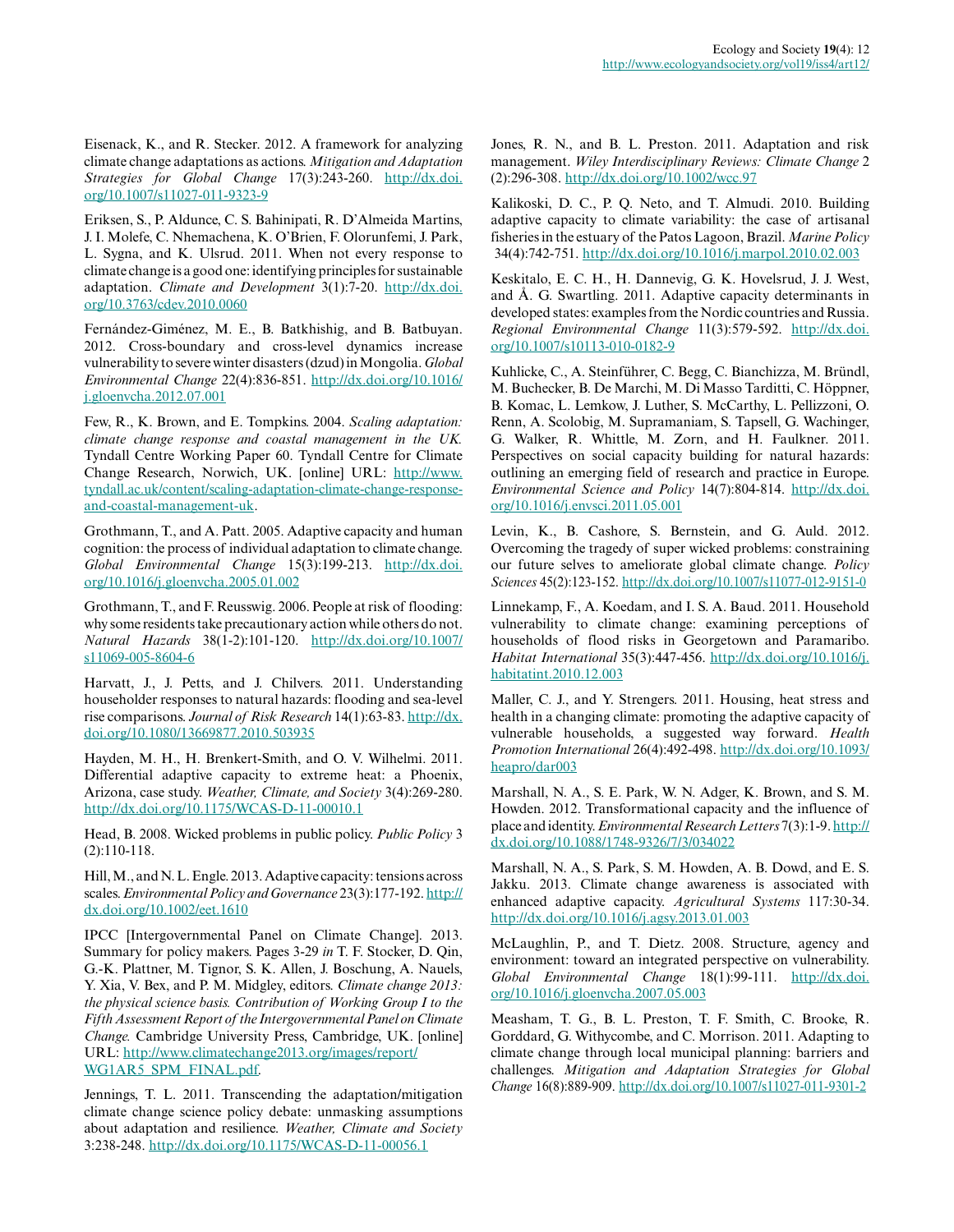Eisenack, K., and R. Stecker. 2012. A framework for analyzing climate change adaptations as actions. *Mitigation and Adaptation Strategies for Global Change* 17(3):243-260. [http://dx.doi.](http://dx.doi.org/10.1007/s11027-011-9323-9) [org/10.1007/s11027-011-9323-9](http://dx.doi.org/10.1007/s11027-011-9323-9)

Eriksen, S., P. Aldunce, C. S. Bahinipati, R. D'Almeida Martins, J. I. Molefe, C. Nhemachena, K. O'Brien, F. Olorunfemi, J. Park, L. Sygna, and K. Ulsrud. 2011. When not every response to climate change is a good one: identifying principles for sustainable adaptation. *Climate and Development* 3(1):7-20. [http://dx.doi.](http://dx.doi.org/10.3763/cdev.2010.0060) [org/10.3763/cdev.2010.0060](http://dx.doi.org/10.3763/cdev.2010.0060)

Fernández-Giménez, M. E., B. Batkhishig, and B. Batbuyan. 2012. Cross-boundary and cross-level dynamics increase vulnerability to severe winter disasters (dzud) in Mongolia. *Global Environmental Change* 22(4):836-851. [http://dx.doi.org/10.1016/](http://dx.doi.org/10.1016/j.gloenvcha.2012.07.001) [j.gloenvcha.2012.07.001](http://dx.doi.org/10.1016/j.gloenvcha.2012.07.001)

Few, R., K. Brown, and E. Tompkins. 2004. *Scaling adaptation: climate change response and coastal management in the UK.* Tyndall Centre Working Paper 60. Tyndall Centre for Climate Change Research, Norwich, UK. [online] URL: [http://www.](http://www.tyndall.ac.uk/content/scaling-adaptation-climate-change-response-and-coastal-management-uk) [tyndall.ac.uk/content/scaling-adaptation-climate-change-response](http://www.tyndall.ac.uk/content/scaling-adaptation-climate-change-response-and-coastal-management-uk)[and-coastal-management-uk](http://www.tyndall.ac.uk/content/scaling-adaptation-climate-change-response-and-coastal-management-uk).

Grothmann, T., and A. Patt. 2005. Adaptive capacity and human cognition: the process of individual adaptation to climate change. *Global Environmental Change* 15(3):199-213. [http://dx.doi.](http://dx.doi.org/10.1016/j.gloenvcha.2005.01.002) [org/10.1016/j.gloenvcha.2005.01.002](http://dx.doi.org/10.1016/j.gloenvcha.2005.01.002)

Grothmann, T., and F. Reusswig. 2006. People at risk of flooding: why some residents take precautionary action while others do not. *Natural Hazards* 38(1-2):101-120. [http://dx.doi.org/10.1007/](http://dx.doi.org/10.1007/s11069-005-8604-6) [s11069-005-8604-6](http://dx.doi.org/10.1007/s11069-005-8604-6)

Harvatt, J., J. Petts, and J. Chilvers. 2011. Understanding householder responses to natural hazards: flooding and sea-level rise comparisons. *Journal of Risk Research* 14(1):63-83. [http://dx.](http://dx.doi.org/10.1080/13669877.2010.503935) [doi.org/10.1080/13669877.2010.503935](http://dx.doi.org/10.1080/13669877.2010.503935)

Hayden, M. H., H. Brenkert-Smith, and O. V. Wilhelmi. 2011. Differential adaptive capacity to extreme heat: a Phoenix, Arizona, case study. *Weather, Climate, and Society* 3(4):269-280. <http://dx.doi.org/10.1175/WCAS-D-11-00010.1>

Head, B. 2008. Wicked problems in public policy. *Public Policy* 3 (2):110-118.

Hill, M., and N. L. Engle. 2013. Adaptive capacity: tensions across scales. *Environmental Policy and Governance* 23(3):177-192. [http://](http://dx.doi.org/10.1002/eet.1610) [dx.doi.org/10.1002/eet.1610](http://dx.doi.org/10.1002/eet.1610)

IPCC [Intergovernmental Panel on Climate Change]. 2013. Summary for policy makers. Pages 3-29 *in* T. F. Stocker, D. Qin, G.-K. Plattner, M. Tignor, S. K. Allen, J. Boschung, A. Nauels, Y. Xia, V. Bex, and P. M. Midgley, editors. *Climate change 2013: the physical science basis. Contribution of Working Group I to the Fifth Assessment Report of the Intergovernmental Panel on Climate Change.* Cambridge University Press, Cambridge, UK. [online] URL: [http://www.climatechange2013.org/images/report/](http://www.climatechange2013.org/images/report/WG1AR5_SPM_FINAL.pdf) [WG1AR5\\_SPM\\_FINAL.pdf.](http://www.climatechange2013.org/images/report/WG1AR5_SPM_FINAL.pdf)

Jennings, T. L. 2011. Transcending the adaptation/mitigation climate change science policy debate: unmasking assumptions about adaptation and resilience. *Weather, Climate and Society* 3:238-248. <http://dx.doi.org/10.1175/WCAS-D-11-00056.1>

Jones, R. N., and B. L. Preston. 2011. Adaptation and risk management. *Wiley Interdisciplinary Reviews: Climate Change* 2 (2):296-308. <http://dx.doi.org/10.1002/wcc.97>

Kalikoski, D. C., P. Q. Neto, and T. Almudi. 2010. Building adaptive capacity to climate variability: the case of artisanal fisheries in the estuary of the Patos Lagoon, Brazil. *Marine Policy* 34(4):742-751. <http://dx.doi.org/10.1016/j.marpol.2010.02.003>

Keskitalo, E. C. H., H. Dannevig, G. K. Hovelsrud, J. J. West, and Å. G. Swartling. 2011. Adaptive capacity determinants in developed states: examples from the Nordic countries and Russia. Regional Environmental Change 11(3):579-592. [http://dx.doi.](http://dx.doi.org/10.1007/s10113-010-0182-9) [org/10.1007/s10113-010-0182-9](http://dx.doi.org/10.1007/s10113-010-0182-9)

Kuhlicke, C., A. Steinführer, C. Begg, C. Bianchizza, M. Bründl, M. Buchecker, B. De Marchi, M. Di Masso Tarditti, C. Höppner, B. Komac, L. Lemkow, J. Luther, S. McCarthy, L. Pellizzoni, O. Renn, A. Scolobig, M. Supramaniam, S. Tapsell, G. Wachinger, G. Walker, R. Whittle, M. Zorn, and H. Faulkner. 2011. Perspectives on social capacity building for natural hazards: outlining an emerging field of research and practice in Europe. *Environmental Science and Policy* 14(7):804-814. [http://dx.doi.](http://dx.doi.org/10.1016/j.envsci.2011.05.001) [org/10.1016/j.envsci.2011.05.001](http://dx.doi.org/10.1016/j.envsci.2011.05.001)

Levin, K., B. Cashore, S. Bernstein, and G. Auld. 2012. Overcoming the tragedy of super wicked problems: constraining our future selves to ameliorate global climate change. *Policy Sciences* 45(2):123-152.<http://dx.doi.org/10.1007/s11077-012-9151-0>

Linnekamp, F., A. Koedam, and I. S. A. Baud. 2011. Household vulnerability to climate change: examining perceptions of households of flood risks in Georgetown and Paramaribo. *Habitat International* 35(3):447-456. [http://dx.doi.org/10.1016/j.](http://dx.doi.org/10.1016/j.habitatint.2010.12.003) [habitatint.2010.12.003](http://dx.doi.org/10.1016/j.habitatint.2010.12.003)

Maller, C. J., and Y. Strengers. 2011. Housing, heat stress and health in a changing climate: promoting the adaptive capacity of vulnerable households, a suggested way forward. *Health Promotion International* 26(4):492-498. [http://dx.doi.org/10.1093/](http://dx.doi.org/10.1093/heapro/dar003) [heapro/dar003](http://dx.doi.org/10.1093/heapro/dar003)

Marshall, N. A., S. E. Park, W. N. Adger, K. Brown, and S. M. Howden. 2012. Transformational capacity and the influence of place and identity. *Environmental Research Letters* 7(3):1-9. [http://](http://dx.doi.org/10.1088/1748-9326/7/3/034022) [dx.doi.org/10.1088/1748-9326/7/3/034022](http://dx.doi.org/10.1088/1748-9326/7/3/034022)

Marshall, N. A., S. Park, S. M. Howden, A. B. Dowd, and E. S. Jakku. 2013. Climate change awareness is associated with enhanced adaptive capacity. *Agricultural Systems* 117:30-34. <http://dx.doi.org/10.1016/j.agsy.2013.01.003>

McLaughlin, P., and T. Dietz. 2008. Structure, agency and environment: toward an integrated perspective on vulnerability. *Global Environmental Change* 18(1):99-111. [http://dx.doi.](http://dx.doi.org/10.1016/j.gloenvcha.2007.05.003) [org/10.1016/j.gloenvcha.2007.05.003](http://dx.doi.org/10.1016/j.gloenvcha.2007.05.003)

Measham, T. G., B. L. Preston, T. F. Smith, C. Brooke, R. Gorddard, G. Withycombe, and C. Morrison. 2011. Adapting to climate change through local municipal planning: barriers and challenges. *Mitigation and Adaptation Strategies for Global Change* 16(8):889-909.<http://dx.doi.org/10.1007/s11027-011-9301-2>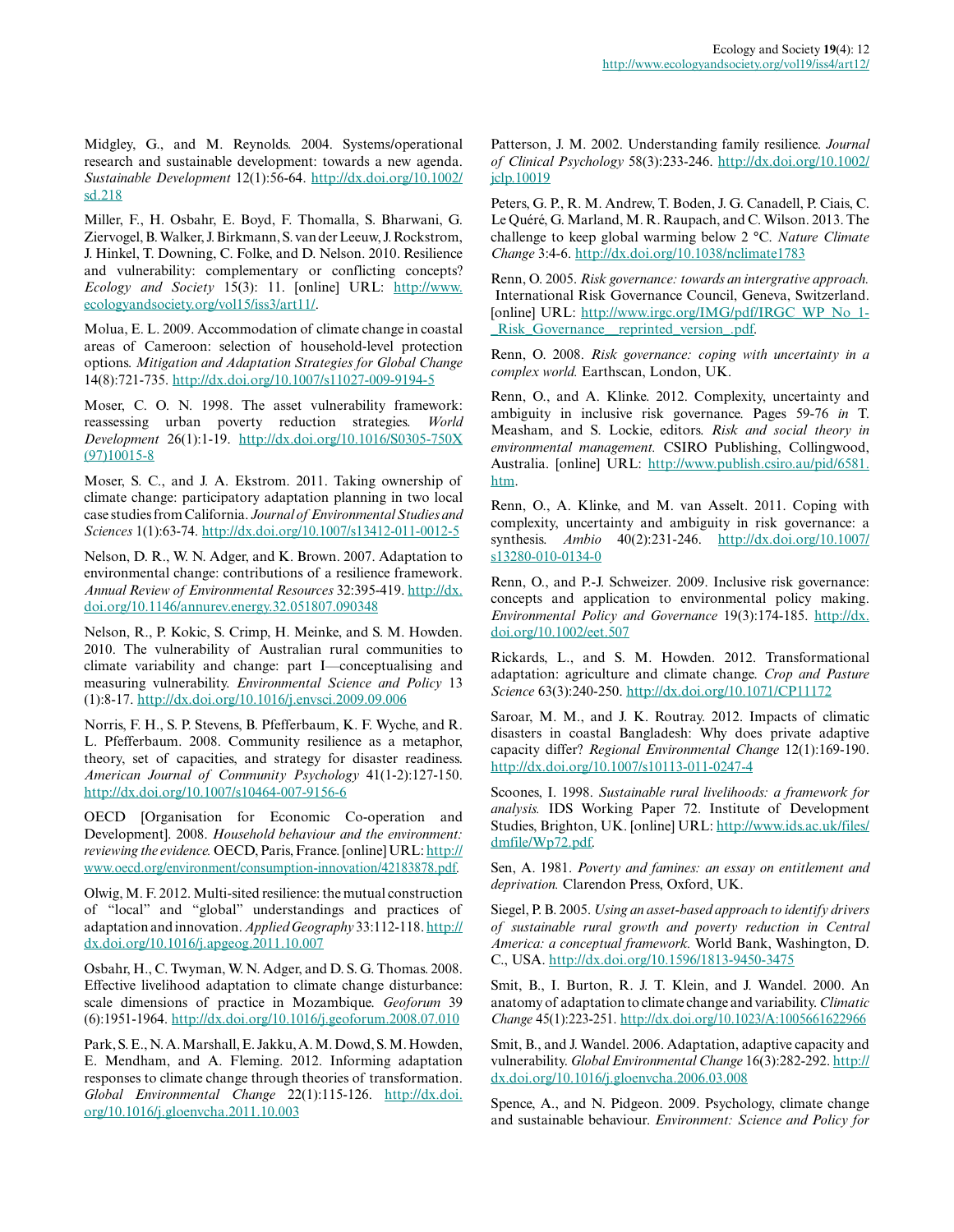Midgley, G., and M. Reynolds. 2004. Systems/operational research and sustainable development: towards a new agenda. *Sustainable Development* 12(1):56-64. [http://dx.doi.org/10.1002/](http://dx.doi.org/10.1002/sd.218) [sd.218](http://dx.doi.org/10.1002/sd.218)

Miller, F., H. Osbahr, E. Boyd, F. Thomalla, S. Bharwani, G. Ziervogel, B. Walker, J. Birkmann, S. van der Leeuw, J. Rockstrom, J. Hinkel, T. Downing, C. Folke, and D. Nelson. 2010. Resilience and vulnerability: complementary or conflicting concepts? *Ecology and Society* 15(3): 11. [online] URL: [http://www.](http://www.ecologyandsociety.org/vol15/iss3/art11/) [ecologyandsociety.org/vol15/iss3/art11/](http://www.ecologyandsociety.org/vol15/iss3/art11/).

Molua, E. L. 2009. Accommodation of climate change in coastal areas of Cameroon: selection of household-level protection options. *Mitigation and Adaptation Strategies for Global Change* 14(8):721-735. <http://dx.doi.org/10.1007/s11027-009-9194-5>

Moser, C. O. N. 1998. The asset vulnerability framework: reassessing urban poverty reduction strategies. *World Development* 26(1):1-19. [http://dx.doi.org/10.1016/S0305-750X](http://dx.doi.org/10.1016/S0305-750X(97)10015-8) [\(97\)10015-8](http://dx.doi.org/10.1016/S0305-750X(97)10015-8)

Moser, S. C., and J. A. Ekstrom. 2011. Taking ownership of climate change: participatory adaptation planning in two local case studies from California. *Journal of Environmental Studies and Sciences* 1(1):63-74. <http://dx.doi.org/10.1007/s13412-011-0012-5>

Nelson, D. R., W. N. Adger, and K. Brown. 2007. Adaptation to environmental change: contributions of a resilience framework. *Annual Review of Environmental Resources* 32:395-419. [http://dx.](http://dx.doi.org/10.1146/annurev.energy.32.051807.090348) [doi.org/10.1146/annurev.energy.32.051807.090348](http://dx.doi.org/10.1146/annurev.energy.32.051807.090348)

Nelson, R., P. Kokic, S. Crimp, H. Meinke, and S. M. Howden. 2010. The vulnerability of Australian rural communities to climate variability and change: part I—conceptualising and measuring vulnerability. *Environmental Science and Policy* 13 (1):8-17.<http://dx.doi.org/10.1016/j.envsci.2009.09.006>

Norris, F. H., S. P. Stevens, B. Pfefferbaum, K. F. Wyche, and R. L. Pfefferbaum. 2008. Community resilience as a metaphor, theory, set of capacities, and strategy for disaster readiness. *American Journal of Community Psychology* 41(1-2):127-150. <http://dx.doi.org/10.1007/s10464-007-9156-6>

OECD [Organisation for Economic Co-operation and Development]. 2008. *Household behaviour and the environment: reviewing the evidence.* OECD, Paris, France. [online] URL: [http://](http://www.oecd.org/environment/consumption-innovation/42183878.pdf) [www.oecd.org/environment/consumption-innovation/42183878.pdf.](http://www.oecd.org/environment/consumption-innovation/42183878.pdf)

Olwig, M. F. 2012. Multi-sited resilience: the mutual construction of "local" and "global" understandings and practices of adaptation and innovation. *Applied Geography* 33:112-118. [http://](http://dx.doi.org/10.1016/j.apgeog.2011.10.007) [dx.doi.org/10.1016/j.apgeog.2011.10.007](http://dx.doi.org/10.1016/j.apgeog.2011.10.007)

Osbahr, H., C. Twyman, W. N. Adger, and D. S. G. Thomas. 2008. Effective livelihood adaptation to climate change disturbance: scale dimensions of practice in Mozambique. *Geoforum* 39 (6):1951-1964. <http://dx.doi.org/10.1016/j.geoforum.2008.07.010>

Park, S. E., N. A. Marshall, E. Jakku, A. M. Dowd, S. M. Howden, E. Mendham, and A. Fleming. 2012. Informing adaptation responses to climate change through theories of transformation. *Global Environmental Change* 22(1):115-126. [http://dx.doi.](http://dx.doi.org/10.1016/j.gloenvcha.2011.10.003) [org/10.1016/j.gloenvcha.2011.10.003](http://dx.doi.org/10.1016/j.gloenvcha.2011.10.003)

Patterson, J. M. 2002. Understanding family resilience. *Journal of Clinical Psychology* 58(3):233-246. [http://dx.doi.org/10.1002/](http://dx.doi.org/10.1002/jclp.10019) [jclp.10019](http://dx.doi.org/10.1002/jclp.10019)

Peters, G. P., R. M. Andrew, T. Boden, J. G. Canadell, P. Ciais, C. Le Quéré, G. Marland, M. R. Raupach, and C. Wilson. 2013. The challenge to keep global warming below 2 °C. *Nature Climate Change* 3:4-6.<http://dx.doi.org/10.1038/nclimate1783>

Renn, O. 2005. *Risk governance: towards an intergrative approach.* International Risk Governance Council, Geneva, Switzerland. [online] URL: [http://www.irgc.org/IMG/pdf/IRGC\\_WP\\_No\\_1](http://www.irgc.org/IMG/pdf/IRGC_WP_No_1_Risk_Governance__reprinted_version_.pdf)-[\\_Risk\\_Governance\\_\\_reprinted\\_version\\_.pdf.](http://www.irgc.org/IMG/pdf/IRGC_WP_No_1_Risk_Governance__reprinted_version_.pdf)

Renn, O. 2008. *Risk governance: coping with uncertainty in a complex world.* Earthscan, London, UK.

Renn, O., and A. Klinke. 2012. Complexity, uncertainty and ambiguity in inclusive risk governance. Pages 59-76 *in* T. Measham, and S. Lockie, editors. *Risk and social theory in environmental management.* CSIRO Publishing, Collingwood, Australia. [online] URL: [http://www.publish.csiro.au/pid/6581.](http://www.publish.csiro.au/pid/6581.htm) [htm](http://www.publish.csiro.au/pid/6581.htm).

Renn, O., A. Klinke, and M. van Asselt. 2011. Coping with complexity, uncertainty and ambiguity in risk governance: a synthesis. *Ambio* 40(2):231-246. [http://dx.doi.org/10.1007/](http://dx.doi.org/10.1007/s13280-010-0134-0) [s13280-010-0134-0](http://dx.doi.org/10.1007/s13280-010-0134-0)

Renn, O., and P.-J. Schweizer. 2009. Inclusive risk governance: concepts and application to environmental policy making. *Environmental Policy and Governance* 19(3):174-185. [http://dx.](http://dx.doi.org/10.1002/eet.507) [doi.org/10.1002/eet.507](http://dx.doi.org/10.1002/eet.507)

Rickards, L., and S. M. Howden. 2012. Transformational adaptation: agriculture and climate change. *Crop and Pasture Science* 63(3):240-250.<http://dx.doi.org/10.1071/CP11172>

Saroar, M. M., and J. K. Routray. 2012. Impacts of climatic disasters in coastal Bangladesh: Why does private adaptive capacity differ? *Regional Environmental Change* 12(1):169-190. <http://dx.doi.org/10.1007/s10113-011-0247-4>

Scoones, I. 1998. *Sustainable rural livelihoods: a framework for analysis.* IDS Working Paper 72. Institute of Development Studies, Brighton, UK. [online] URL: [http://www.ids.ac.uk/files/](http://www.ids.ac.uk/files/dmfile/Wp72.pdf) [dmfile/Wp72.pdf.](http://www.ids.ac.uk/files/dmfile/Wp72.pdf)

Sen, A. 1981. *Poverty and famines: an essay on entitlement and deprivation.* Clarendon Press, Oxford, UK.

Siegel, P. B. 2005. *Using an asset-based approach to identify drivers of sustainable rural growth and poverty reduction in Central America: a conceptual framework.* World Bank, Washington, D. C., USA.<http://dx.doi.org/10.1596/1813-9450-3475>

Smit, B., I. Burton, R. J. T. Klein, and J. Wandel. 2000. An anatomy of adaptation to climate change and variability. *Climatic Change* 45(1):223-251.<http://dx.doi.org/10.1023/A:1005661622966>

Smit, B., and J. Wandel. 2006. Adaptation, adaptive capacity and vulnerability. *Global Environmental Change* 16(3):282-292. [http://](http://dx.doi.org/10.1016/j.gloenvcha.2006.03.008) [dx.doi.org/10.1016/j.gloenvcha.2006.03.008](http://dx.doi.org/10.1016/j.gloenvcha.2006.03.008)

Spence, A., and N. Pidgeon. 2009. Psychology, climate change and sustainable behaviour. *Environment: Science and Policy for*